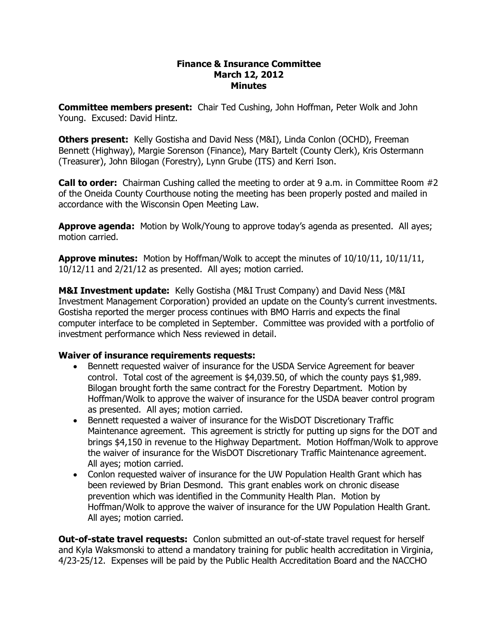#### **Finance & Insurance Committee March 12, 2012 Minutes**

**Committee members present:**  Chair Ted Cushing, John Hoffman, Peter Wolk and John Young. Excused: David Hintz.

**Others present:**  Kelly Gostisha and David Ness (M&I), Linda Conlon (OCHD), Freeman Bennett (Highway), Margie Sorenson (Finance), Mary Bartelt (County Clerk), Kris Ostermann (Treasurer), John Bilogan (Forestry), Lynn Grube (ITS) and Kerri Ison.

**Call to order:** Chairman Cushing called the meeting to order at 9 a.m. in Committee Room #2 of the Oneida County Courthouse noting the meeting has been properly posted and mailed in accordance with the Wisconsin Open Meeting Law.

**Approve agenda:** Motion by Wolk/Young to approve today's agenda as presented. All ayes; motion carried.

**Approve minutes:** Motion by Hoffman/Wolk to accept the minutes of 10/10/11, 10/11/11, 10/12/11 and 2/21/12 as presented. All ayes; motion carried.

**M&I Investment update:** Kelly Gostisha (M&I Trust Company) and David Ness (M&I Investment Management Corporation) provided an update on the County's current investments. Gostisha reported the merger process continues with BMO Harris and expects the final computer interface to be completed in September. Committee was provided with a portfolio of investment performance which Ness reviewed in detail.

### **Waiver of insurance requirements requests:**

- · Bennett requested waiver of insurance for the USDA Service Agreement for beaver control. Total cost of the agreement is \$4,039.50, of which the county pays \$1,989. Bilogan brought forth the same contract for the Forestry Department. Motion by Hoffman/Wolk to approve the waiver of insurance for the USDA beaver control program as presented. All ayes; motion carried.
- · Bennett requested a waiver of insurance for the WisDOT Discretionary Traffic Maintenance agreement. This agreement is strictly for putting up signs for the DOT and brings \$4,150 in revenue to the Highway Department. Motion Hoffman/Wolk to approve the waiver of insurance for the WisDOT Discretionary Traffic Maintenance agreement. All ayes; motion carried.
- · Conlon requested waiver of insurance for the UW Population Health Grant which has been reviewed by Brian Desmond. This grant enables work on chronic disease prevention which was identified in the Community Health Plan. Motion by Hoffman/Wolk to approve the waiver of insurance for the UW Population Health Grant. All ayes; motion carried.

**Out-of-state travel requests:** Conlon submitted an out-of-state travel request for herself and Kyla Waksmonski to attend a mandatory training for public health accreditation in Virginia, 4/2325/12. Expenses will be paid by the Public Health Accreditation Board and the NACCHO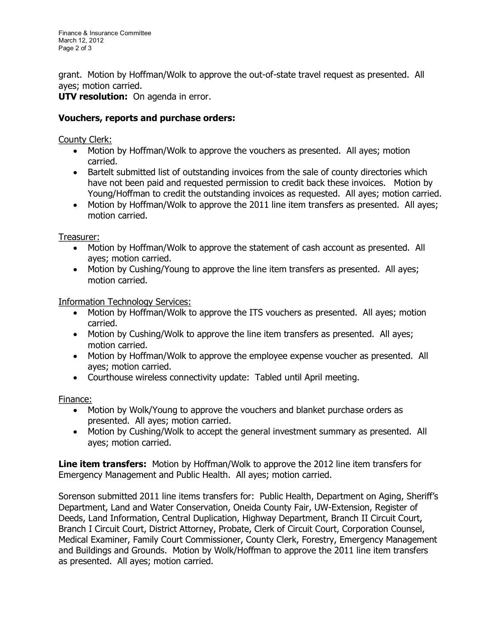grant. Motion by Hoffman/Wolk to approve the out-of-state travel request as presented. All ayes; motion carried.

**UTV resolution:** On agenda in error.

# **Vouchers, reports and purchase orders:**

# County Clerk:

- · Motion by Hoffman/Wolk to approve the vouchers as presented. All ayes; motion carried.
- · Bartelt submitted list of outstanding invoices from the sale of county directories which have not been paid and requested permission to credit back these invoices. Motion by Young/Hoffman to credit the outstanding invoices as requested. All ayes; motion carried.
- · Motion by Hoffman/Wolk to approve the 2011 line item transfers as presented. All ayes; motion carried.

Treasurer:

- · Motion by Hoffman/Wolk to approve the statement of cash account as presented. All ayes; motion carried.
- · Motion by Cushing/Young to approve the line item transfers as presented. All ayes; motion carried.

Information Technology Services:

- · Motion by Hoffman/Wolk to approve the ITS vouchers as presented. All ayes; motion carried.
- · Motion by Cushing/Wolk to approve the line item transfers as presented. All ayes; motion carried.
- · Motion by Hoffman/Wolk to approve the employee expense voucher as presented. All ayes; motion carried.
- · Courthouse wireless connectivity update: Tabled until April meeting.

Finance:

- · Motion by Wolk/Young to approve the vouchers and blanket purchase orders as presented. All ayes; motion carried.
- · Motion by Cushing/Wolk to accept the general investment summary as presented. All ayes; motion carried.

**Line item transfers:** Motion by Hoffman/Wolk to approve the 2012 line item transfers for Emergency Management and Public Health. All ayes; motion carried.

Sorenson submitted 2011 line items transfers for: Public Health, Department on Aging, Sheriff's Department, Land and Water Conservation, Oneida County Fair, UW-Extension, Register of Deeds, Land Information, Central Duplication, Highway Department, Branch II Circuit Court, Branch I Circuit Court, District Attorney, Probate, Clerk of Circuit Court, Corporation Counsel, Medical Examiner, Family Court Commissioner, County Clerk, Forestry, Emergency Management and Buildings and Grounds. Motion by Wolk/Hoffman to approve the 2011 line item transfers as presented. All ayes; motion carried.